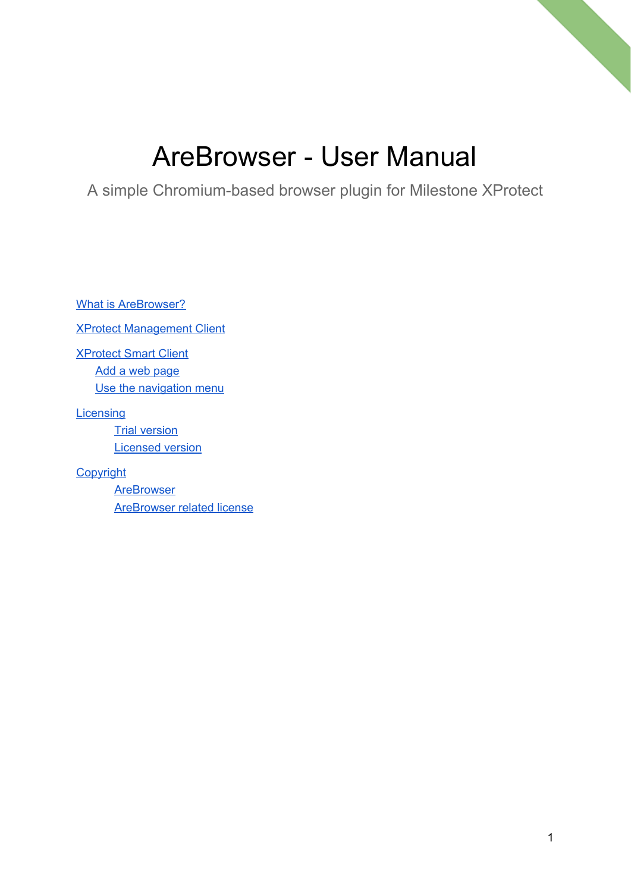# AreBrowser - User Manual

A simple Chromium-based browser plugin for Milestone XProtect

What is [AreBrowser?](#page-1-0)

XProtect [Management](#page-2-0) Client

[XProtect](#page-2-1) Smart Client Add a web [page](#page-4-0) Use the [navigation](#page-5-0) menu

**[Licensing](#page-7-0)** 

**Trial [version](#page-7-1)** [Licensed](#page-7-2) version

**[Copyright](#page-8-0)** 

**[AreBrowser](#page-8-1)** [AreBrowser](#page-8-2) related license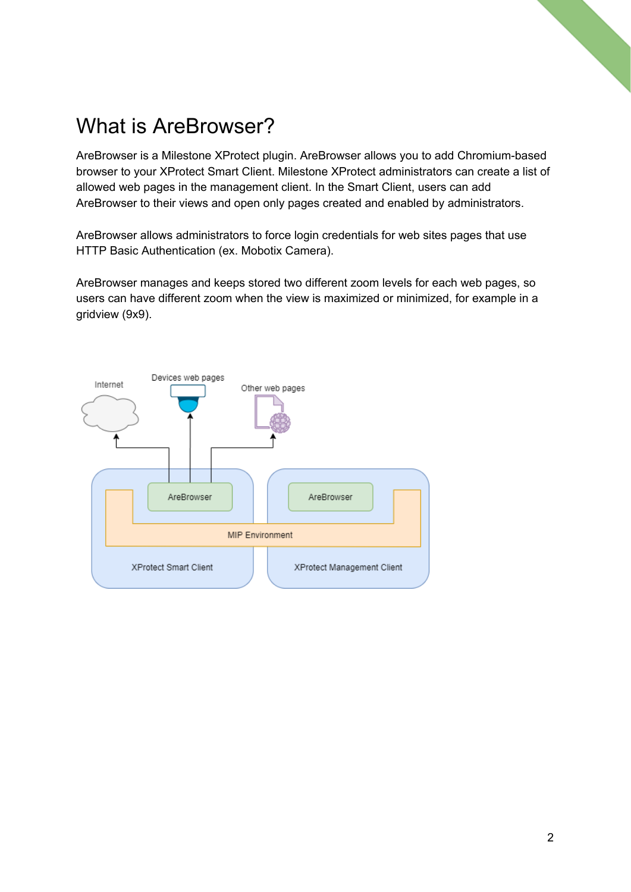## <span id="page-1-0"></span>What is AreBrowser?

AreBrowser is a Milestone XProtect plugin. AreBrowser allows you to add Chromium-based browser to your XProtect Smart Client. Milestone XProtect administrators can create a list of allowed web pages in the management client. In the Smart Client, users can add AreBrowser to their views and open only pages created and enabled by administrators.

AreBrowser allows administrators to force login credentials for web sites pages that use HTTP Basic Authentication (ex. Mobotix Camera).

AreBrowser manages and keeps stored two different zoom levels for each web pages, so users can have different zoom when the view is maximized or minimized, for example in a gridview (9x9).

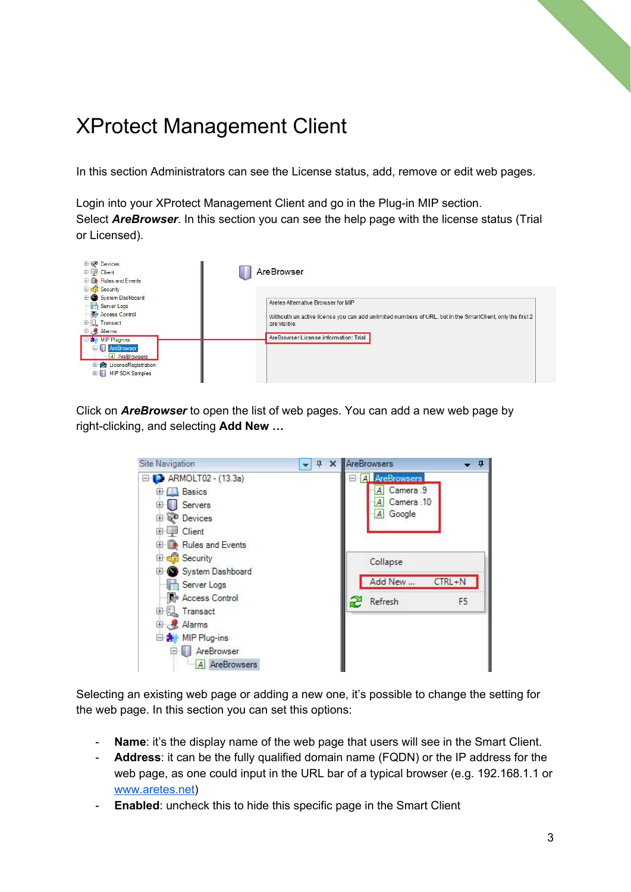## <span id="page-2-0"></span>XProtect Management Client

In this section Administrators can see the License status, add, remove or edit web pages.

Login into your XProtect Management Client and go in the Plug-in MIP section. Select *AreBrowser*. In this section you can see the help page with the license status (Trial or Licensed).



<span id="page-2-1"></span>Click on *AreBrowser* to open the list of web pages. You can add a new web page by right-clicking, and selecting **Add New …**

| Site Navigation                                                                                                      | 4 | <b>X</b> AreBrowsers                                      | 0              |
|----------------------------------------------------------------------------------------------------------------------|---|-----------------------------------------------------------|----------------|
| ARMOLT02 - (13.3a)<br><b>Basics</b><br>田<br>Servers<br>$\overline{+}$<br><b>Devices</b><br>$\overline{+}$            |   | <b>A</b> AreBrowsers<br>Camera 9<br>Camera 10<br>A Google |                |
| Client<br>$\vert + \vert$<br><b>E Rules</b> and Events<br><b>Co</b> Security<br>田<br>System Dashboard<br>Server Logs |   | Collapse<br>Add New                                       | $CTRL + N$     |
| Access Control<br>国 Transact<br>田 & Alarms<br>白素 MIP Plug-ins<br>AreBrowser<br>84<br>A AreBrowsers                   |   | Refresh<br>æ                                              | F <sub>5</sub> |

Selecting an existing web page or adding a new one, it's possible to change the setting for the web page. In this section you can set this options:

- **Name**: it's the display name of the web page that users will see in the Smart Client.
- **Address**: it can be the fully qualified domain name (FQDN) or the IP address for the web page, as one could input in the URL bar of a typical browser (e.g. 192.168.1.1 or [www.aretes.net\)](http://www.aretes.net/)
- **Enabled**: uncheck this to hide this specific page in the Smart Client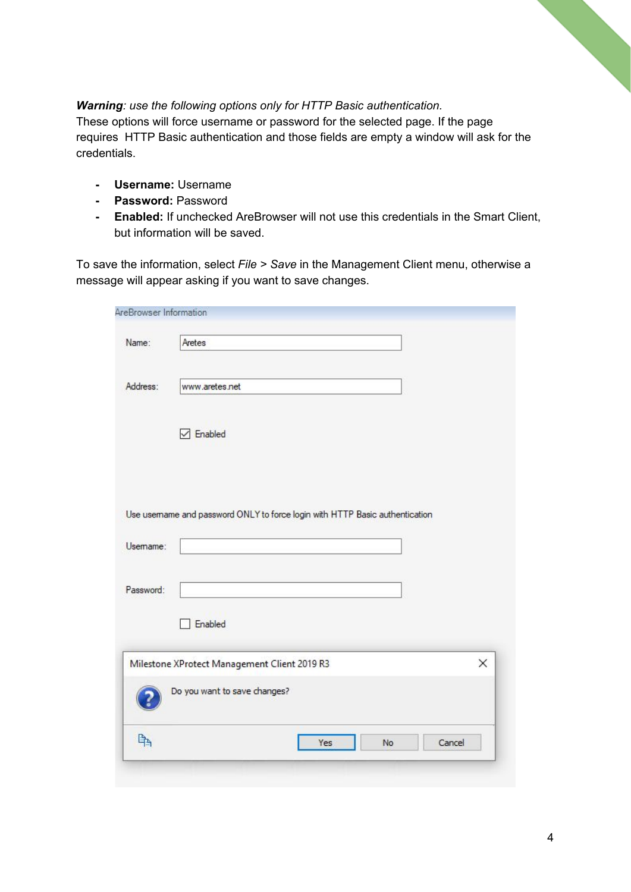#### *Warning: use the following options only for HTTP Basic authentication.*

These options will force username or password for the selected page. If the page requires HTTP Basic authentication and those fields are empty a window will ask for the credentials.

- **- Username:** Username
- **- Password:** Password
- **- Enabled:** If unchecked AreBrowser will not use this credentials in the Smart Client, but information will be saved.

To save the information, select *File > Save* in the Management Client menu, otherwise a message will appear asking if you want to save changes.

| Name:                 | Aretes                                                                      |
|-----------------------|-----------------------------------------------------------------------------|
| Address:              | www.aretes.net                                                              |
|                       | $\triangledown$ Enabled                                                     |
|                       |                                                                             |
|                       | Use usemame and password ONLY to force login with HTTP Basic authentication |
|                       |                                                                             |
|                       | Enabled                                                                     |
|                       | X<br>Milestone XProtect Management Client 2019 R3                           |
| Usemame:<br>Password: | Do you want to save changes?                                                |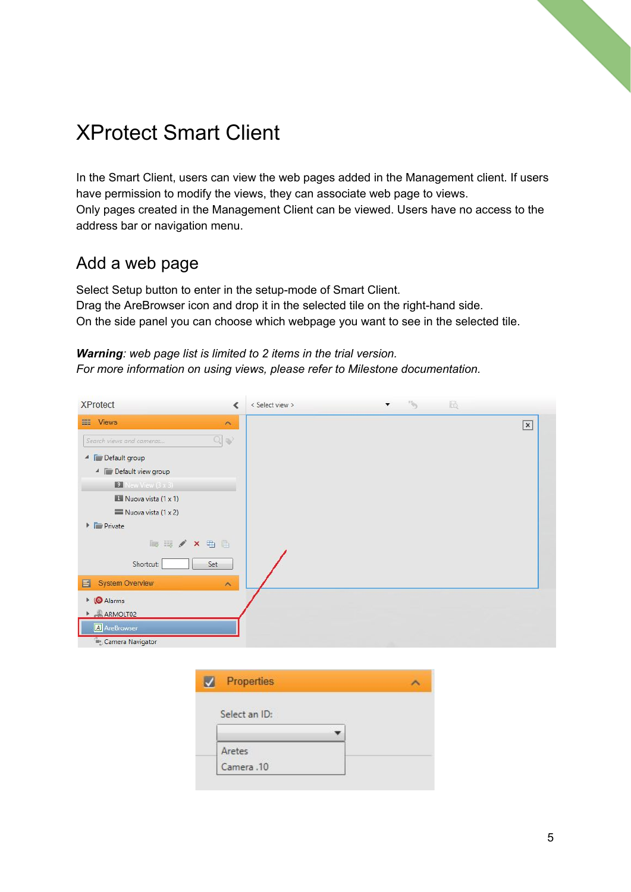### XProtect Smart Client

In the Smart Client, users can view the web pages added in the Management client. If users have permission to modify the views, they can associate web page to views. Only pages created in the Management Client can be viewed. Users have no access to the address bar or navigation menu.

### <span id="page-4-0"></span>Add a web page

Select Setup button to enter in the setup-mode of Smart Client. Drag the AreBrowser icon and drop it in the selected tile on the right-hand side. On the side panel you can choose which webpage you want to see in the selected tile.

#### *Warning: web page list is limited to 2 items in the trial version. For more information on using views, please refer to Milestone documentation.*



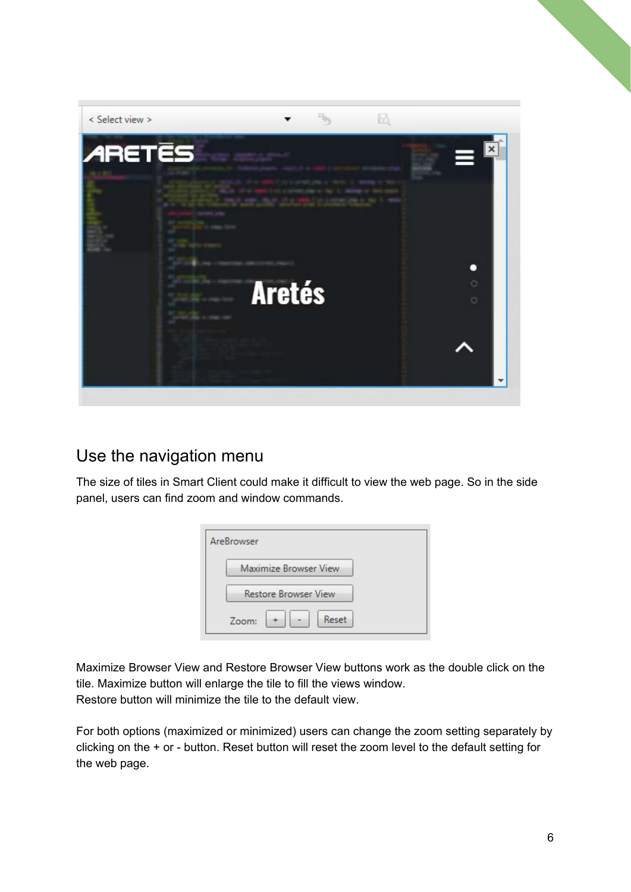

### <span id="page-5-0"></span>Use the navigation menu

The size of tiles in Smart Client could make it difficult to view the web page. So in the side panel, users can find zoom and window commands.

| Maximize Browser View       |  |
|-----------------------------|--|
| <b>Restore Browser View</b> |  |

Maximize Browser View and Restore Browser View buttons work as the double click on the tile. Maximize button will enlarge the tile to fill the views window. Restore button will minimize the tile to the default view.

For both options (maximized or minimized) users can change the zoom setting separately by clicking on the + or - button. Reset button will reset the zoom level to the default setting for the web page.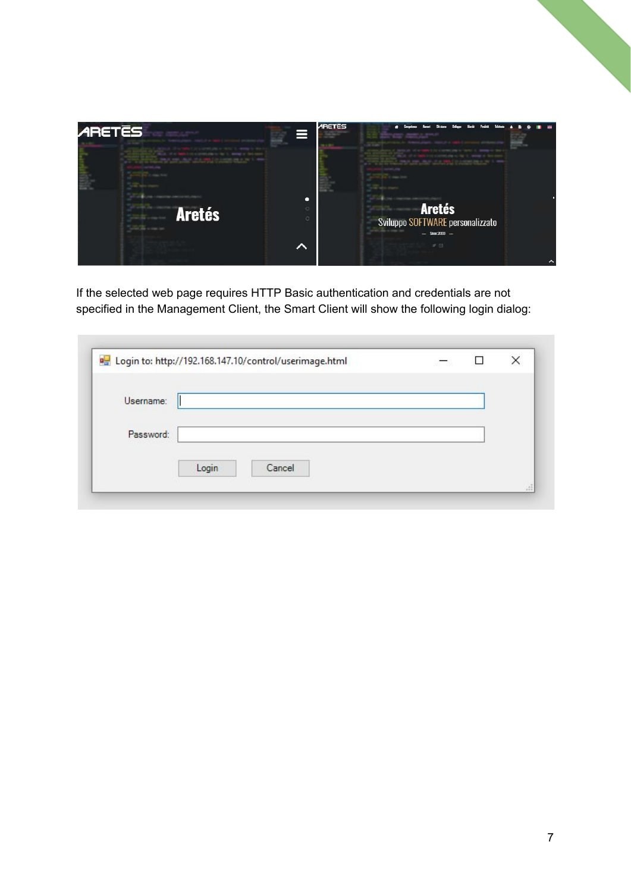

If the selected web page requires HTTP Basic authentication and credentials are not specified in the Management Client, the Smart Client will show the following login dialog:

| Username: |  |  |  |
|-----------|--|--|--|
| Password: |  |  |  |
|           |  |  |  |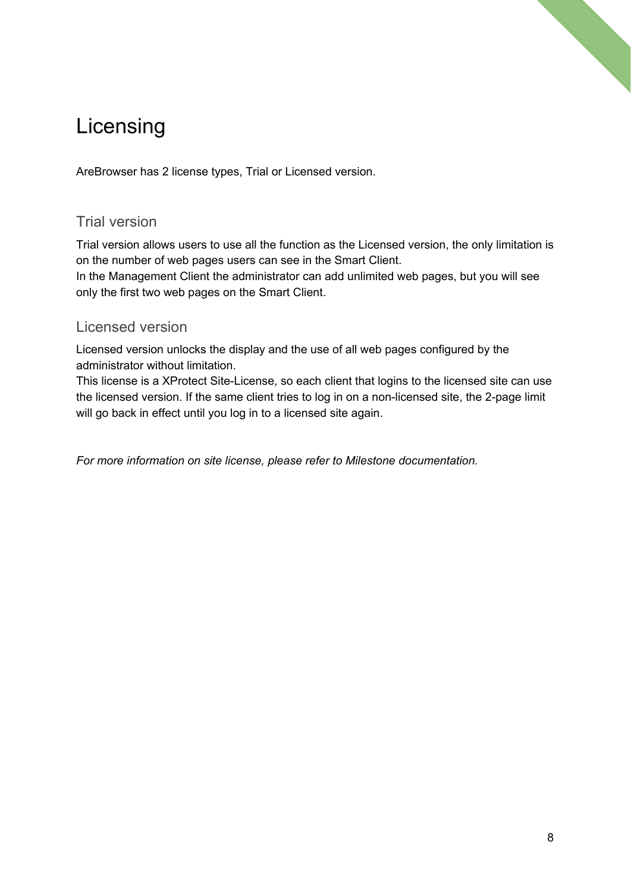## <span id="page-7-0"></span>Licensing

AreBrowser has 2 license types, Trial or Licensed version.

### <span id="page-7-1"></span>Trial version

Trial version allows users to use all the function as the Licensed version, the only limitation is on the number of web pages users can see in the Smart Client. In the Management Client the administrator can add unlimited web pages, but you will see only the first two web pages on the Smart Client.

### <span id="page-7-2"></span>Licensed version

Licensed version unlocks the display and the use of all web pages configured by the administrator without limitation.

This license is a XProtect Site-License, so each client that logins to the licensed site can use the licensed version. If the same client tries to log in on a non-licensed site, the 2-page limit will go back in effect until you log in to a licensed site again.

*For more information on site license, please refer to Milestone documentation.*